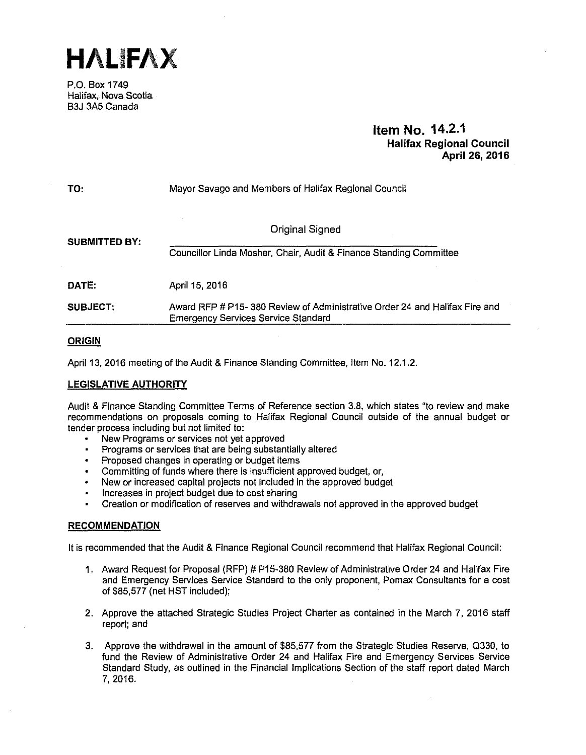**HALIFAX** 

P.O. Box 1749 Halifax, Nova Scotia B3J 3A5 Canada

# **Item No. 14.2.1 Halifax Regional Council April 26, 2016**

| TO:                  | Mayor Savage and Members of Halifax Regional Council                                                                      |  |
|----------------------|---------------------------------------------------------------------------------------------------------------------------|--|
| <b>SUBMITTED BY:</b> | Original Signed<br>Councillor Linda Mosher, Chair, Audit & Finance Standing Committee                                     |  |
| DATE:                | April 15, 2016                                                                                                            |  |
| <b>SUBJECT:</b>      | Award RFP # P15- 380 Review of Administrative Order 24 and Halifax Fire and<br><b>Emergency Services Service Standard</b> |  |

#### **ORIGIN**

April 13, 2016 meeting of the Audit & Finance Standing Committee, Item No. 12.1.2.

#### **LEGISLATIVE AUTHORITY**

Audit & Finance Standing Committee Terms of Reference section 3.8, which states "to review and make recommendations on proposals coming to Halifax Regional Council outside of the annual budget or tender process including but not limited to:

- New Programs or services not yet approved
- Programs or services that are being substantially altered
- Proposed changes in operating or budget items
- Committing of funds where there is insufficient approved budget, or,
- New or increased capital projects not included in the approved budget
- Increases in project budget due to cost sharing
- Creation or modification of reserves and withdrawals not approved in the approved budget

#### **RECOMMENDATION**

It is recommended that the Audit & Finance Regional Council recommend that Halifax Regional Council:

- 1. Award Request for Proposal (RFP) # P15-380 Review of Administrative Order 24 and Halifax Fire and Emergency Services Service Standard to the only proponent, Pomax Consultants for a cost of \$85,577 (net HST included);
- 2. Approve the attached Strategic Studies Project Charter as contained in the March 7, 2016 staff report; and
- 3. Approve the withdrawal in the amount of \$85,577 from the Strategic Studies Reserve, 0330, to fund the Review of Administrative Order 24 and Halifax Fire and Emergency Services Service Standard Study, as outlined in the Financial Implications Section of the staff report dated March 7, 2016.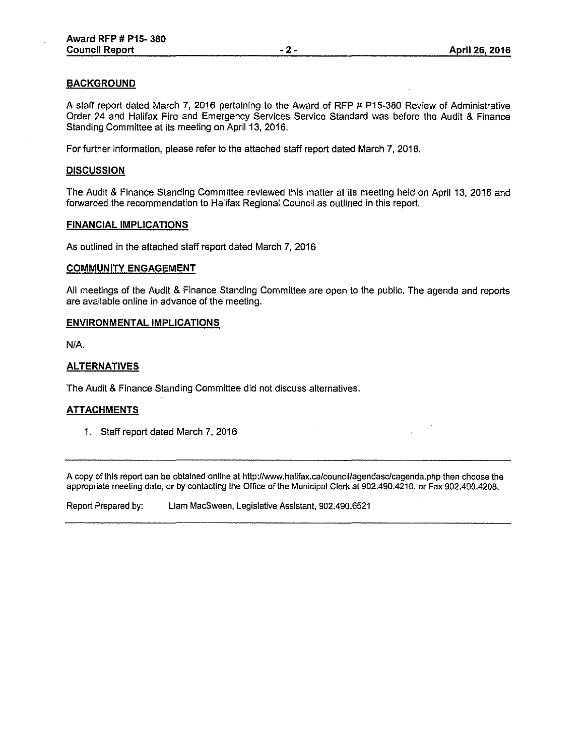### **BACKGROUND**

A staff report dated March 7, 2016 pertaining to the Award of RFP # P15-380 Review of Administrative Order 24 and Halifax Fire and Emergency Services Service Standard was before the Audit & Finance Standing Committee at its meeting on April 13, 2016.

For further information, please refer to the attached staff report dated March 7, 2016.

#### **DISCUSSION**

The Audit & Finance Standing Committee reviewed this matter at its meeting held on April 13, 2016 and forwarded the recommendation to Halifax Regional Council as outlined in this report.

#### **FINANCIAL IMPLICATIONS**

As outlined in the attached staff report dated March 7, 2016

#### **COMMUNITY ENGAGEMENT**

All meetings of the Audit & Finance Standing Committee are open to the public. The agenda and reports are available online in advance of the meeting.

#### **ENVIRONMENTAL IMPLICATIONS**

N/A.

#### **ALTERNATIVES**

The Audit & Finance Standing Committee did not discuss alternatives.

#### **ATTACHMENTS**

1. Staff report dated March 7, 2016

A copy of this report can be obtained on line at http://www.halifax.ca/council/agendasc/cagenda.php then choose the appropriate meeting date, or by contacting the Office of the Municipal Clerk at 902.490.4210, or Fax 902.490.4208.

Report Prepared by: Liam MacSween, Legislative Assistant, 902.490.6521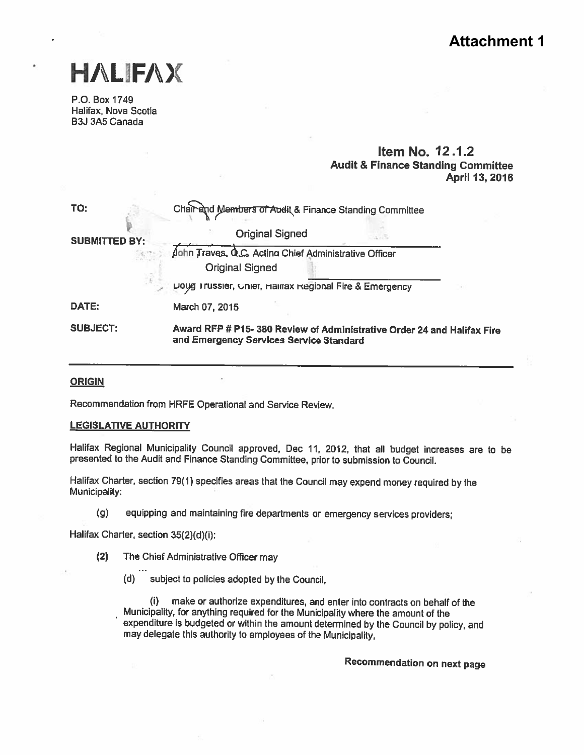# **Attachment 1**



P.O. Box 1749 Halifax, Nova Scotia B3J 3A5 Canada

# Item No. 12.1.2 Audit & Finance Standing Commiftee April 13,2016

| TO:                  | Chair and Members of Audit & Finance Standing Committee                                                           |  |  |
|----------------------|-------------------------------------------------------------------------------------------------------------------|--|--|
| <b>SUBMITTED BY:</b> | <b>Original Signed</b>                                                                                            |  |  |
|                      | John Traves, Q.C. Acting Chief Administrative Officer                                                             |  |  |
|                      | <b>Original Signed</b>                                                                                            |  |  |
|                      | Doug Trussier, Onier, Hallrax Regional Fire & Emergency                                                           |  |  |
| DATE:                | March 07, 2015                                                                                                    |  |  |
| <b>SUBJECT:</b>      | Award RFP # P15-380 Review of Administrative Order 24 and Halifax Fire<br>and Emergency Services Service Standard |  |  |

#### **ORIGIN**

Recommendation from HRFE Operational and Service Review.

#### LEGISLATIVE AUTHORITY

Halifax Regional Municipality Council approved, Dec 11, 2012, that all budget increases are to be presented to the Audit and Finance Standing Committee, prior to submission to Council.

Halifax Charter, section 79(1) specifies areas that the Council may expend money required by the Municipality:

(g) equipping and maintaining fire departments or emergency services providers;

Halifax Charter, section 35(2)(d)(i):

- (2) The Chief Administrative Officer may
	- (d) subject to policies adopted by the Council,

(i) make or authorize expenditures, and enter into contracts on behalf of the Municipality, for anything required for the Municipality where the amount of the expenditure is budgeted or within the amount determined by the Council by policy, and may delegate this authority to employees of the Municipality,

Recommendation on next page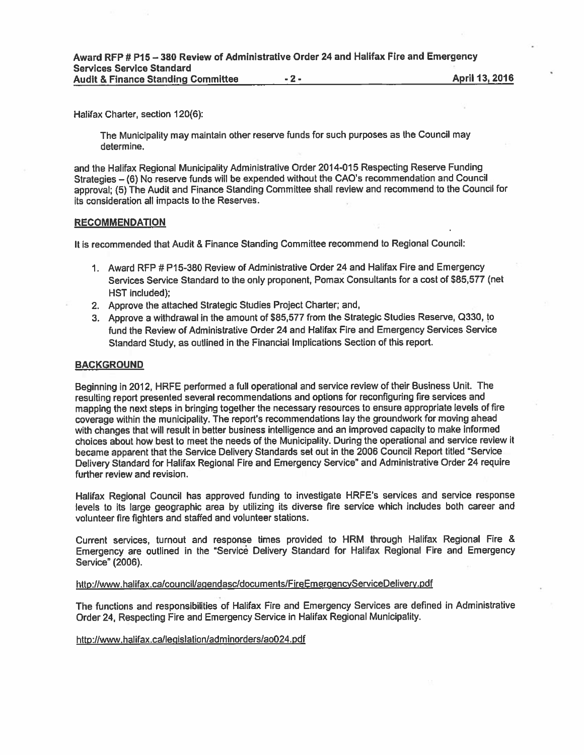| Award RFP # P15 - 380 Review of Administrative Order 24 and Halifax Fire and Emergency |       |                |
|----------------------------------------------------------------------------------------|-------|----------------|
| <b>Services Service Standard</b>                                                       |       |                |
| <b>Audit &amp; Finance Standing Committee</b>                                          | $-2-$ | April 13, 2016 |

Halifax Charter, section 120(6):

The Municipality may maintain other reserve funds for such purposes as the Council may determine.

and the Halifax Regional Municipality Administrative Order 2014-015 Respecting Reserve Funding Strategies —(6) No reserve funds will be expended without the CAO's recommendation and Council approval; (5) The Audit and Finance Standing Committee shall review and recommend to the Council for its consideration all impacts to the Reserves.

#### RECOMMENDATION

It is recommended that Audit & Finance Standing Committee recommend to Regional Council:

- 1. Award RFP # P15-380 Review of Administrative Order 24 and Halifax Fire and Emergency Services Service Standard to the only proponent, Pomax Consultants for <sup>a</sup> cost of \$85,577 (net HST included);
- 2. Approve the attached Strategic Studies Project Charter; and,
- 3. Approve <sup>a</sup> withdrawal in the amount of \$85,577 from the Strategic Studies Reserve, Q330, to fund the Review of Administrative Order 24 and Halifax Fire and Emergency Services Service Standard Study, as outlined in the Financial Implications Section of this report.

#### BACKGROUND

Beginning in 2012, HRFE performed <sup>a</sup> full operational and service review of their Business Unit. The resulting repor<sup>t</sup> presented several recommendations and options for reconfiguring fire services and mapping the next steps in bringing together the necessary resources to ensure appropriate levels of fire coverage within the municipality. The report's recommendations lay the groundwork for moving ahead with changes that will result in better business intelligence and an improved capacity to make informed choices about how best to meet the needs of the Municipality. During the operational and service review it became apparen<sup>t</sup> that the Service Delivery Standards set out in the <sup>2006</sup> Council Report titled "Service Delivery Standard for Halifax Regional Fire and Emergency Service" and Administrative Order 24 require further review and revision.

Halifax Regional Council has approve<sup>d</sup> funding to investigate HRFE's services and service response levels to its large geographic area by utilizing its diverse fire service which includes both career and volunteer fire fighters and staffed and volunteer stations.

Current services, turnout and response times provided to HRM through Halifax Regional Fire & Emergency are outlined in the "Service Delivery Standard for Halifax Regional Fire and Emergency Service" (2006).

http://www.halifax.ca/council/agendasc/documents/FireEmergencyServiceDelivery.pdf

The functions and responsibilities of Halifax Fire and Emergency Services are defined in Administrative Order 24, Respecting Fire and Emergency Service in Halifax Regional Municipality.

http://www,halifax.ca/legislation/adminorders/ao024.pdf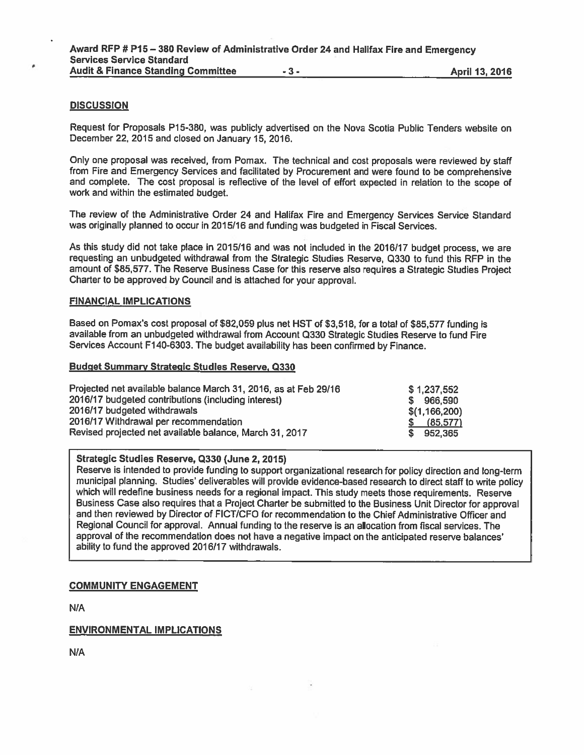#### **DISCUSSION**

Request for Proposals P15-380, was publicly advertised on the Nova Scotia Public Tenders website on December 22, 2015 and closed on January 15, 2016.

Only one proposa<sup>l</sup> was received, from Pomax. The technical and cost proposals were reviewed by staff from Fire and Emergency Services and facilitated by Procurement and were found to be comprehensive and complete. The cost proposa<sup>l</sup> is reflective of the level of effort expected in relation to the scope of work and within the estimated budget.

The review of the Administrative Order <sup>24</sup> and Halifax Fire and Emergency Services Service Standard was originally planned to occur in 2015/16 and funding was budgeted in Fiscal Services.

As this study did not take place in 2015/16 and was not included in the 2016/17 budget process, we are requesting an unbudgeted withdrawal from the Strategic Studies Reserve, Q330 to fund this RFP in the amount of \$85,577. The Reserve Business Case for this reserve also requires <sup>a</sup> Strategic Studies Project Charter to be approved by Council and is attached for your approval.

#### FINANCIAL IMPLICATIONS

Based on Pomax's cost proposal of \$82,059 plus net HST of \$3,518, for a total of \$85,577 funding is available from an unbudgeted withdrawal from Account <sup>0330</sup> Strategic Studies Reserve to fund Fire Services Account F140-6303. The budget availability has been confirmed by Finance.

#### Budget Summary Strategic Studies Reserve, 0330

| Projected net available balance March 31, 2016, as at Feb 29/16 | \$1,237,552   |
|-----------------------------------------------------------------|---------------|
| 2016/17 budgeted contributions (including interest)             | \$966,590     |
| 2016/17 budgeted withdrawals                                    | \$(1,166,200) |
| 2016/17 Withdrawal per recommendation                           | \$ (85,577)   |
| Revised projected net available balance, March 31, 2017         | \$952,365     |

#### Strategic Studies Reserve, 0330 (June 2, 2015)

Reserve is intended to provide funding to suppor<sup>t</sup> organizational research for policy direction and long-term municipal <sup>p</sup>lanning. Studies' deliverables will provide evidence-based research to direct staff to write policy which will redefine business needs for <sup>a</sup> regional impact. This study meets those requirements. Reserve Business Case also requires that <sup>a</sup> Project Charter be submitted to the Business Unit Director for approva<sup>l</sup> and then reviewed by Director of FICT/CFO for recommendation to the Chief Administrative Officer and Regional Council for approval. Annual funding to the reserve is an allocation from fiscal services. The approva<sup>l</sup> of the recommendation does not have <sup>a</sup> negative impact on the anticipated reserve balances' ability to fund the approved 2016/17 withdrawals.

#### COMMUNITY ENGAGEMENT

N/A

#### ENVIRONMENTAL IMPLICATIONS

N/A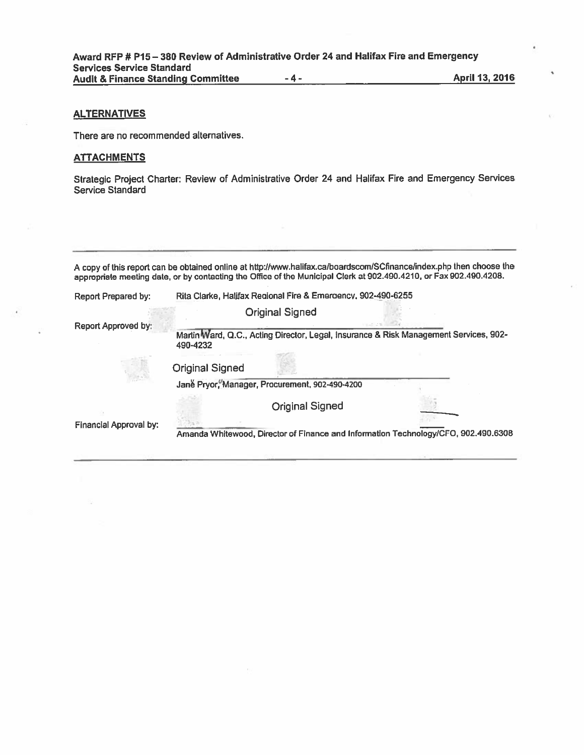#### **ALTERNATIVES**

#### **ATTACHMENTS**

| <b>Services Service Standard</b><br><b>Audit &amp; Finance Standing Committee</b> |                        | -4-                                                          | Award RFP # P15 - 380 Review of Administrative Order 24 and Halifax Fire and Emergency<br>April 13, 2016                                                                                                                                  |
|-----------------------------------------------------------------------------------|------------------------|--------------------------------------------------------------|-------------------------------------------------------------------------------------------------------------------------------------------------------------------------------------------------------------------------------------------|
| <b>ALTERNATIVES</b>                                                               |                        |                                                              |                                                                                                                                                                                                                                           |
| There are no recommended alternatives.                                            |                        |                                                              |                                                                                                                                                                                                                                           |
| <u>ATTACHMENTS</u>                                                                |                        |                                                              |                                                                                                                                                                                                                                           |
| <b>Service Standard</b>                                                           |                        |                                                              | Strategic Project Charter: Review of Administrative Order 24 and Halifax Fire and Emergency Services                                                                                                                                      |
|                                                                                   |                        |                                                              |                                                                                                                                                                                                                                           |
|                                                                                   |                        |                                                              | A copy of this report can be obtained online at http://www.halifax.ca/boardscom/SCfinance/index.php then choose the<br>appropriate meeting date, or by contacting the Office of the Municipal Clerk at 902.490.4210, or Fax 902.490.4208. |
| <b>Report Prepared by:</b>                                                        |                        | Rita Clarke, Halifax Regional Fire & Emergency, 902-490-6255 |                                                                                                                                                                                                                                           |
| Report Approved by:                                                               |                        | <b>Original Signed</b>                                       |                                                                                                                                                                                                                                           |
|                                                                                   | 490-4232               |                                                              | Martin Ward, Q.C., Acting Director, Legal, Insurance & Risk Management Services, 902-                                                                                                                                                     |
|                                                                                   | <b>Original Signed</b> |                                                              |                                                                                                                                                                                                                                           |
|                                                                                   |                        | Jane Pryor, Manager, Procurement, 902-490-4200               |                                                                                                                                                                                                                                           |
|                                                                                   |                        | <b>Original Signed</b>                                       |                                                                                                                                                                                                                                           |
| <b>Financial Approval by:</b>                                                     |                        |                                                              | Amanda Whitewood, Director of Finance and Information Technology/CFO, 902.490.6308                                                                                                                                                        |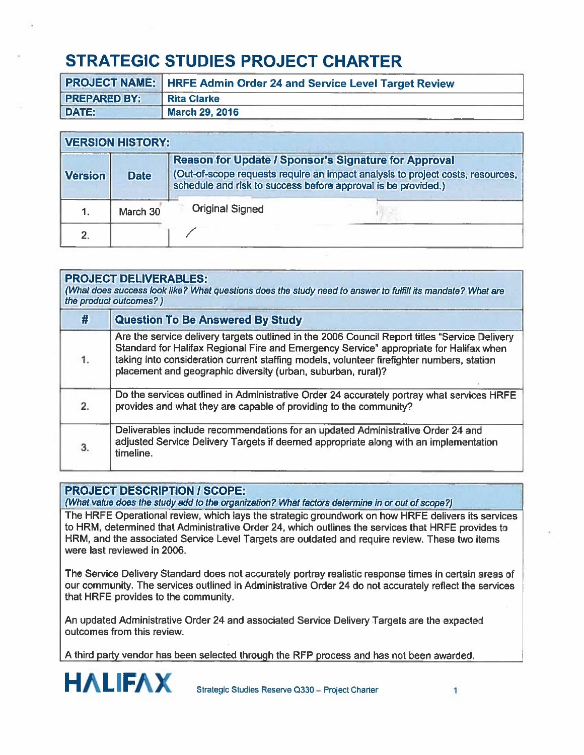# STRATEGIC STUDIES PROJECT CHARTER

|                     | <b>PROJECT NAME: HRFE Admin Order 24 and Service Level Target Review</b> |
|---------------------|--------------------------------------------------------------------------|
| <b>PREPARED BY:</b> | <b>Rita Clarke</b>                                                       |
| DATE:               | <b>March 29, 2016</b>                                                    |

|                | <b>VERSION HISTORY:</b> |                                                                                                                                                                                                                |  |
|----------------|-------------------------|----------------------------------------------------------------------------------------------------------------------------------------------------------------------------------------------------------------|--|
| <b>Version</b> | <b>Date</b>             | <b>Reason for Update / Sponsor's Signature for Approval</b><br>(Out-of-scope requests require an impact analysis to project costs, resources,<br>schedule and risk to success before approval is be provided.) |  |
|                | March 30                | <b>Original Signed</b>                                                                                                                                                                                         |  |
|                |                         |                                                                                                                                                                                                                |  |

|             | <b>PROJECT DELIVERABLES:</b><br>(What does success look like? What questions does the study need to answer to fulfill its mandate? What are<br>the product outcomes?)                                                                                                                                                                                |
|-------------|------------------------------------------------------------------------------------------------------------------------------------------------------------------------------------------------------------------------------------------------------------------------------------------------------------------------------------------------------|
| #           | <b>Question To Be Answered By Study</b>                                                                                                                                                                                                                                                                                                              |
| 1.          | Are the service delivery targets outlined in the 2006 Council Report titles "Service Delivery<br>Standard for Halifax Regional Fire and Emergency Service" appropriate for Halifax when<br>taking into consideration current staffing models, volunteer firefighter numbers, station<br>placement and geographic diversity (urban, suburban, rural)? |
| $2^{\circ}$ | Do the services outlined in Administrative Order 24 accurately portray what services HRFE<br>provides and what they are capable of providing to the community?                                                                                                                                                                                       |
|             | Deliverables include recommendations for an updated Administrative Order 24 and<br>adjusted Service Delivery Targets if deemed appropriate along with an implementation<br>timeline.                                                                                                                                                                 |

# PROJECT DESCRIPTION I SCOPE:

(What value does the study add to the organization? What factors determine in or out of scope?)

The HRFE Operational review, which lays the strategic groundwork on how HRFE delivers its services to HRM, determined that Administrative Order 24, which outlines the services that HRFE provides to HRM, and the associated Service Level Targets are outdated and require review. These two items were last reviewed in 2006.

The Service Delivery Standard does not accurately portray realistic response times in certain areas of our community. The services outlined in Administrative Order 24 do not accurately reflect the services that HRFE provides to the community.

An updated Administrative Order 24 and associated Service Delivery Targets are the expected outcomes from this review.

<sup>A</sup> third party vendor has been selected through the RFP process and has not been awarded.

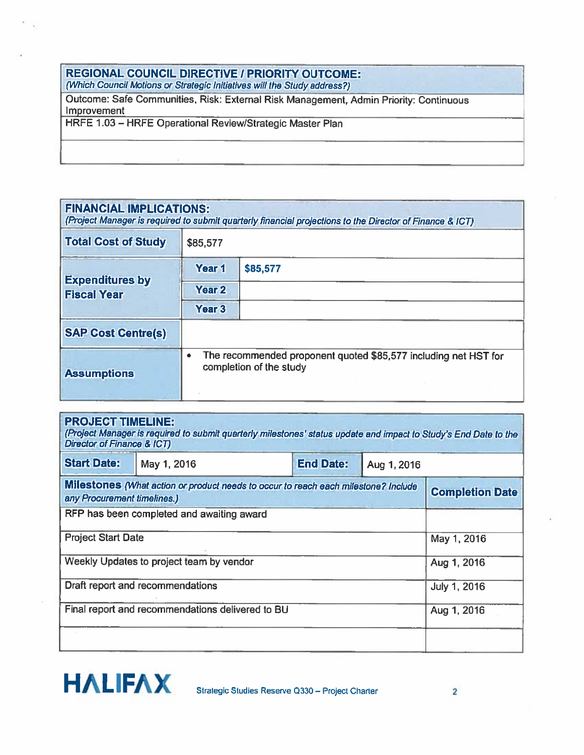# REGIONAL COUNCIL DIRECTIVE / PRIORITY OUTCOME:

(Which Council Motions or Strategic Initiatives will the Study address?)

Outcome: Safe Communities, Risk: External Risk Management, Admin Priority: Continuous Improvement

HRFE 1.03 — HRFE Operational Review/Strategic Master Plan

| <b>FINANCIAL IMPLICATIONS:</b><br>(Project Manager is required to submit quarterly financial projections to the Director of Finance & ICT) |                                                                                                 |          |  |
|--------------------------------------------------------------------------------------------------------------------------------------------|-------------------------------------------------------------------------------------------------|----------|--|
| <b>Total Cost of Study</b>                                                                                                                 | \$85,577                                                                                        |          |  |
|                                                                                                                                            | Year 1                                                                                          | \$85,577 |  |
| <b>Expenditures by</b><br><b>Fiscal Year</b>                                                                                               | Year 2                                                                                          |          |  |
|                                                                                                                                            | Year <sub>3</sub>                                                                               |          |  |
| <b>SAP Cost Centre(s)</b>                                                                                                                  |                                                                                                 |          |  |
| <b>Assumptions</b>                                                                                                                         | The recommended proponent quoted \$85,577 including net HST for<br>۰<br>completion of the study |          |  |

| <b>PROJECT TIMELINE:</b><br>(Project Manager is required to submit quarterly milestones' status update and impact to Study's End Date to the<br>Director of Finance & ICT) |                                                                                    |  |                     |                        |  |
|----------------------------------------------------------------------------------------------------------------------------------------------------------------------------|------------------------------------------------------------------------------------|--|---------------------|------------------------|--|
| <b>Start Date:</b>                                                                                                                                                         | <b>End Date:</b><br>May 1, 2016<br>Aug 1, 2016                                     |  |                     |                        |  |
| any Procurement timelines.)                                                                                                                                                | Milestones (What action or product needs to occur to reach each milestone? Include |  |                     | <b>Completion Date</b> |  |
|                                                                                                                                                                            | RFP has been completed and awaiting award                                          |  |                     |                        |  |
| <b>Project Start Date</b><br>May 1, 2016                                                                                                                                   |                                                                                    |  |                     |                        |  |
| Weekly Updates to project team by vendor<br>Aug 1, 2016                                                                                                                    |                                                                                    |  |                     |                        |  |
| Draft report and recommendations                                                                                                                                           |                                                                                    |  | <b>July 1, 2016</b> |                        |  |
| Final report and recommendations delivered to BU                                                                                                                           |                                                                                    |  | Aug 1, 2016         |                        |  |
|                                                                                                                                                                            |                                                                                    |  |                     |                        |  |